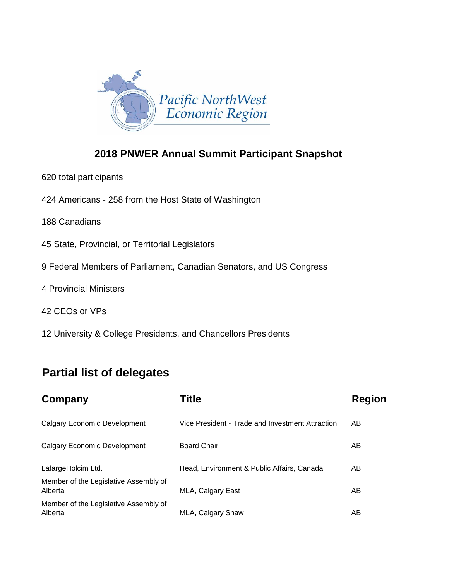

## **2018 PNWER Annual Summit Participant Snapshot**

- 620 total participants
- 424 Americans 258 from the Host State of Washington
- 188 Canadians
- 45 State, Provincial, or Territorial Legislators
- 9 Federal Members of Parliament, Canadian Senators, and US Congress
- 4 Provincial Ministers
- 42 CEOs or VPs
- 12 University & College Presidents, and Chancellors Presidents

## **Partial list of delegates**

| Company                                          | <b>Title</b>                                     | <b>Region</b> |
|--------------------------------------------------|--------------------------------------------------|---------------|
| <b>Calgary Economic Development</b>              | Vice President - Trade and Investment Attraction | AB            |
| <b>Calgary Economic Development</b>              | <b>Board Chair</b>                               | AB            |
| LafargeHolcim Ltd.                               | Head, Environment & Public Affairs, Canada       | AB            |
| Member of the Legislative Assembly of<br>Alberta | MLA, Calgary East                                | AB            |
| Member of the Legislative Assembly of<br>Alberta | MLA, Calgary Shaw                                | AB            |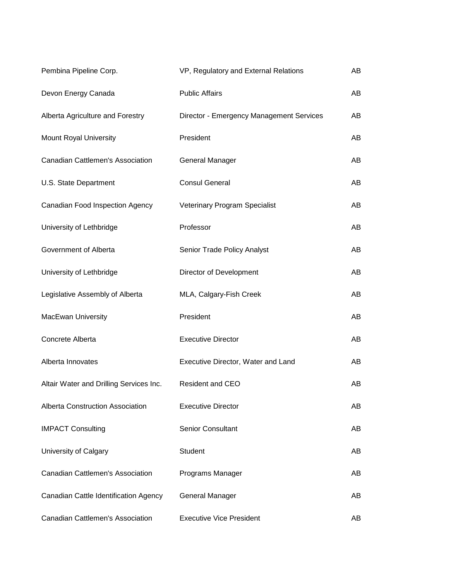| Pembina Pipeline Corp.                  | VP, Regulatory and External Relations    | AB  |
|-----------------------------------------|------------------------------------------|-----|
| Devon Energy Canada                     | <b>Public Affairs</b>                    | AB  |
| Alberta Agriculture and Forestry        | Director - Emergency Management Services | AB  |
| <b>Mount Royal University</b>           | President                                | AB  |
| <b>Canadian Cattlemen's Association</b> | General Manager                          | AB  |
| U.S. State Department                   | <b>Consul General</b>                    | AB  |
| Canadian Food Inspection Agency         | Veterinary Program Specialist            | AB  |
| University of Lethbridge                | Professor                                | AB  |
| Government of Alberta                   | Senior Trade Policy Analyst              | AB  |
| University of Lethbridge                | Director of Development                  | AB  |
| Legislative Assembly of Alberta         | MLA, Calgary-Fish Creek                  | AB  |
| MacEwan University                      | President                                | AB  |
| Concrete Alberta                        | <b>Executive Director</b>                | AB  |
| Alberta Innovates                       | Executive Director, Water and Land       | AB  |
| Altair Water and Drilling Services Inc. | <b>Resident and CEO</b>                  | AB  |
| <b>Alberta Construction Association</b> | <b>Executive Director</b>                | AB  |
| <b>IMPACT Consulting</b>                | <b>Senior Consultant</b>                 | AB. |
| University of Calgary                   | Student                                  | AB  |
| Canadian Cattlemen's Association        | Programs Manager                         | AB  |
| Canadian Cattle Identification Agency   | General Manager                          | AB  |
| Canadian Cattlemen's Association        | <b>Executive Vice President</b>          | AB  |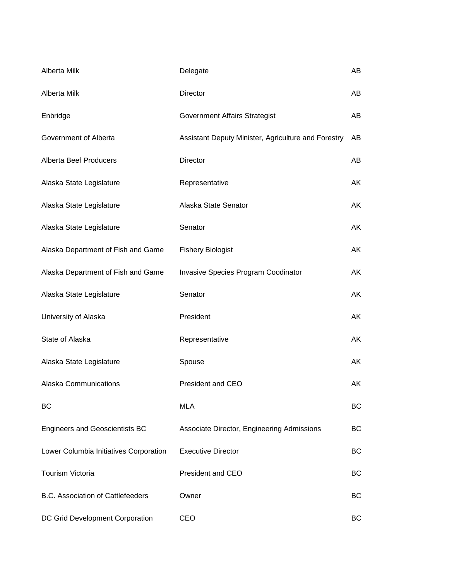| Alberta Milk                             | Delegate                                            | AB |
|------------------------------------------|-----------------------------------------------------|----|
| Alberta Milk                             | Director                                            | AB |
| Enbridge                                 | Government Affairs Strategist                       | AB |
| Government of Alberta                    | Assistant Deputy Minister, Agriculture and Forestry | AB |
| <b>Alberta Beef Producers</b>            | Director                                            | AB |
| Alaska State Legislature                 | Representative                                      | AK |
| Alaska State Legislature                 | Alaska State Senator                                | AK |
| Alaska State Legislature                 | Senator                                             | AK |
| Alaska Department of Fish and Game       | <b>Fishery Biologist</b>                            | AK |
| Alaska Department of Fish and Game       | Invasive Species Program Coodinator                 | AK |
| Alaska State Legislature                 | Senator                                             | AK |
| University of Alaska                     | President                                           | AK |
| State of Alaska                          | Representative                                      | AK |
| Alaska State Legislature                 | Spouse                                              | AK |
| <b>Alaska Communications</b>             | <b>President and CEO</b>                            | AK |
| BC                                       | <b>MLA</b>                                          | BC |
| <b>Engineers and Geoscientists BC</b>    | Associate Director, Engineering Admissions          | BC |
| Lower Columbia Initiatives Corporation   | <b>Executive Director</b>                           | BC |
| <b>Tourism Victoria</b>                  | <b>President and CEO</b>                            | BC |
| <b>B.C. Association of Cattlefeeders</b> | Owner                                               | BC |
| DC Grid Development Corporation          | CEO                                                 | BC |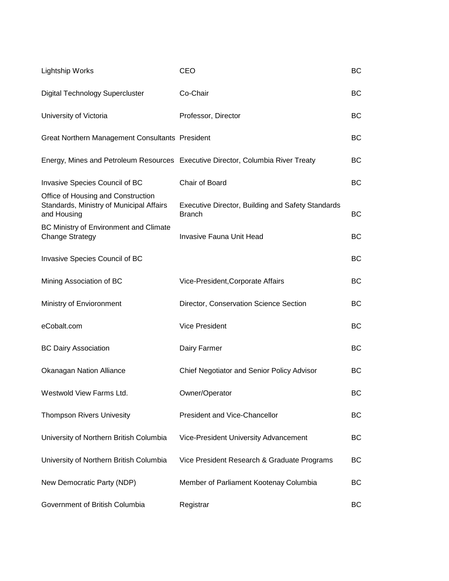| <b>Lightship Works</b>                                                                        | CEO                                                                             | BC  |
|-----------------------------------------------------------------------------------------------|---------------------------------------------------------------------------------|-----|
| <b>Digital Technology Supercluster</b>                                                        | Co-Chair                                                                        | BC  |
| University of Victoria                                                                        | Professor, Director                                                             | ВC  |
| Great Northern Management Consultants President                                               |                                                                                 | BC  |
|                                                                                               | Energy, Mines and Petroleum Resources Executive Director, Columbia River Treaty | ВC  |
| Invasive Species Council of BC                                                                | Chair of Board                                                                  | ВC  |
| Office of Housing and Construction<br>Standards, Ministry of Municipal Affairs<br>and Housing | <b>Executive Director, Building and Safety Standards</b><br><b>Branch</b>       | ВC  |
| BC Ministry of Environment and Climate<br><b>Change Strategy</b>                              | <b>Invasive Fauna Unit Head</b>                                                 | ВC  |
| Invasive Species Council of BC                                                                |                                                                                 | BC  |
| Mining Association of BC                                                                      | Vice-President, Corporate Affairs                                               | BC  |
| Ministry of Envioronment                                                                      | Director, Conservation Science Section                                          | BC  |
| eCobalt.com                                                                                   | <b>Vice President</b>                                                           | BC  |
| <b>BC Dairy Association</b>                                                                   | Dairy Farmer                                                                    | BC  |
| <b>Okanagan Nation Alliance</b>                                                               | Chief Negotiator and Senior Policy Advisor                                      | BС  |
| Westwold View Farms Ltd.                                                                      | Owner/Operator                                                                  | BC. |
| <b>Thompson Rivers Univesity</b>                                                              | President and Vice-Chancellor                                                   | BC  |
| University of Northern British Columbia                                                       | Vice-President University Advancement                                           | BC  |
| University of Northern British Columbia                                                       | Vice President Research & Graduate Programs                                     | BC  |
| New Democratic Party (NDP)                                                                    | Member of Parliament Kootenay Columbia                                          | BC  |
| Government of British Columbia                                                                | Registrar                                                                       | BC  |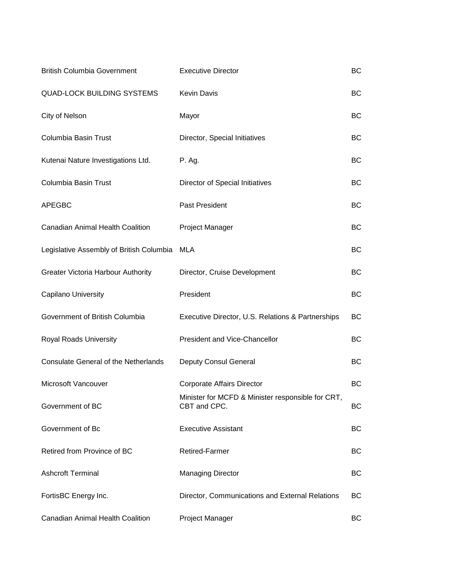| <b>British Columbia Government</b>          | <b>Executive Director</b>                                         | <b>BC</b> |
|---------------------------------------------|-------------------------------------------------------------------|-----------|
| <b>QUAD-LOCK BUILDING SYSTEMS</b>           | <b>Kevin Davis</b>                                                | <b>BC</b> |
| City of Nelson                              | Mayor                                                             | BC        |
| Columbia Basin Trust                        | Director, Special Initiatives                                     | BC        |
| Kutenai Nature Investigations Ltd.          | P. Ag.                                                            | <b>BC</b> |
| Columbia Basin Trust                        | Director of Special Initiatives                                   | BC        |
| <b>APEGBC</b>                               | Past President                                                    | BC        |
| <b>Canadian Animal Health Coalition</b>     | Project Manager                                                   | BC        |
| Legislative Assembly of British Columbia    | <b>MLA</b>                                                        | BC        |
| <b>Greater Victoria Harbour Authority</b>   | Director, Cruise Development                                      | <b>BC</b> |
| Capilano University                         | President                                                         | <b>BC</b> |
| Government of British Columbia              | Executive Director, U.S. Relations & Partnerships                 | BC        |
| Royal Roads University                      | <b>President and Vice-Chancellor</b>                              | BC        |
| <b>Consulate General of the Netherlands</b> | Deputy Consul General                                             | <b>BC</b> |
| Microsoft Vancouver                         | <b>Corporate Affairs Director</b>                                 | BC        |
| Government of BC                            | Minister for MCFD & Minister responsible for CRT,<br>CBT and CPC. | ВC        |
| Government of Bc                            | <b>Executive Assistant</b>                                        | BC        |
| Retired from Province of BC                 | <b>Retired-Farmer</b>                                             | BC        |
| <b>Ashcroft Terminal</b>                    | <b>Managing Director</b>                                          | BC        |
| FortisBC Energy Inc.                        | Director, Communications and External Relations                   | BC.       |
| <b>Canadian Animal Health Coalition</b>     | Project Manager                                                   | BC        |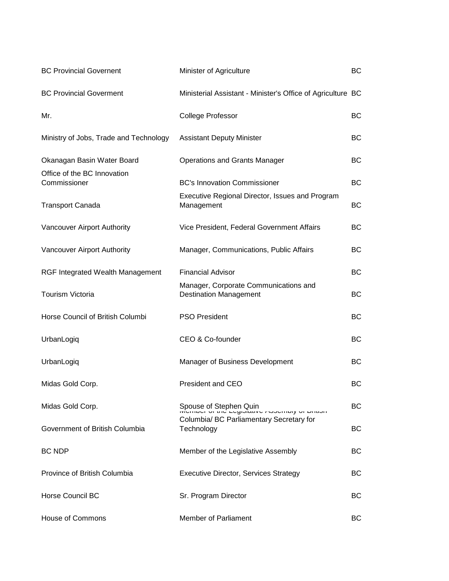| <b>BC Provincial Governent</b>              | Minister of Agriculture                                                | ВC        |
|---------------------------------------------|------------------------------------------------------------------------|-----------|
| <b>BC Provincial Goverment</b>              | Ministerial Assistant - Minister's Office of Agriculture BC            |           |
| Mr.                                         | <b>College Professor</b>                                               | <b>BC</b> |
| Ministry of Jobs, Trade and Technology      | <b>Assistant Deputy Minister</b>                                       | ВC        |
| Okanagan Basin Water Board                  | <b>Operations and Grants Manager</b>                                   | <b>BC</b> |
| Office of the BC Innovation<br>Commissioner | <b>BC's Innovation Commissioner</b>                                    | ВC        |
| <b>Transport Canada</b>                     | Executive Regional Director, Issues and Program<br>Management          | <b>BC</b> |
| Vancouver Airport Authority                 | Vice President, Federal Government Affairs                             | ВC        |
| Vancouver Airport Authority                 | Manager, Communications, Public Affairs                                | ВC        |
| <b>RGF Integrated Wealth Management</b>     | <b>Financial Advisor</b>                                               | ВC        |
| Tourism Victoria                            | Manager, Corporate Communications and<br><b>Destination Management</b> | <b>BC</b> |
| Horse Council of British Columbi            | <b>PSO President</b>                                                   | ВC        |
| UrbanLogiq                                  | CEO & Co-founder                                                       | <b>BC</b> |
| UrbanLogiq                                  | Manager of Business Development                                        | <b>BC</b> |
| Midas Gold Corp.                            | President and CEO                                                      | BC        |
| Midas Gold Corp.                            |                                                                        | <b>BC</b> |
| Government of British Columbia              | Columbia/ BC Parliamentary Secretary for<br>Technology                 | <b>BC</b> |
| <b>BC NDP</b>                               | Member of the Legislative Assembly                                     | ВC        |
| Province of British Columbia                | <b>Executive Director, Services Strategy</b>                           | <b>BC</b> |
| <b>Horse Council BC</b>                     | Sr. Program Director                                                   | ВC        |
| <b>House of Commons</b>                     | <b>Member of Parliament</b>                                            | ВC        |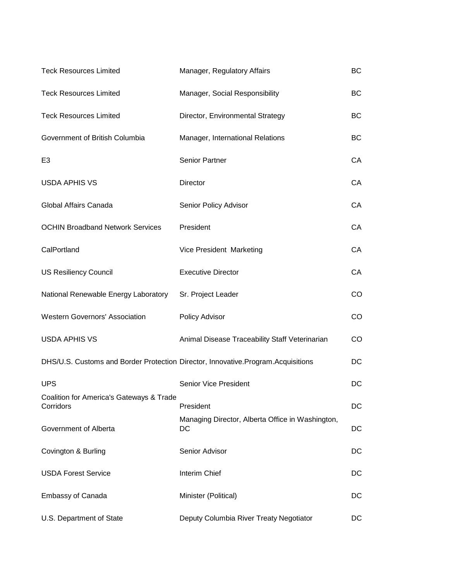| <b>Teck Resources Limited</b>                                                    | Manager, Regulatory Affairs                            | <b>BC</b> |
|----------------------------------------------------------------------------------|--------------------------------------------------------|-----------|
| <b>Teck Resources Limited</b>                                                    | Manager, Social Responsibility                         | ВC        |
| <b>Teck Resources Limited</b>                                                    | Director, Environmental Strategy                       | <b>BC</b> |
| Government of British Columbia                                                   | Manager, International Relations                       | <b>BC</b> |
| E <sub>3</sub>                                                                   | Senior Partner                                         | CA        |
| <b>USDA APHIS VS</b>                                                             | Director                                               | CA        |
| Global Affairs Canada                                                            | Senior Policy Advisor                                  | CA        |
| <b>OCHIN Broadband Network Services</b>                                          | President                                              | CA        |
| CalPortland                                                                      | Vice President Marketing                               | CA        |
| <b>US Resiliency Council</b>                                                     | <b>Executive Director</b>                              | CA        |
| National Renewable Energy Laboratory                                             | Sr. Project Leader                                     | CO        |
| <b>Western Governors' Association</b>                                            | Policy Advisor                                         | <b>CO</b> |
| <b>USDA APHIS VS</b>                                                             | Animal Disease Traceability Staff Veterinarian         | CO        |
| DHS/U.S. Customs and Border Protection Director, Innovative.Program.Acquisitions |                                                        | DC        |
| <b>UPS</b>                                                                       | <b>Senior Vice President</b>                           | DC        |
| Coalition for America's Gateways & Trade<br>Corridors                            | President                                              | DC        |
| Government of Alberta                                                            | Managing Director, Alberta Office in Washington,<br>DC | DC        |
| Covington & Burling                                                              | Senior Advisor                                         | DC        |
| <b>USDA Forest Service</b>                                                       | Interim Chief                                          | DC        |
| <b>Embassy of Canada</b>                                                         | Minister (Political)                                   | DC        |
| U.S. Department of State                                                         | Deputy Columbia River Treaty Negotiator                | DC        |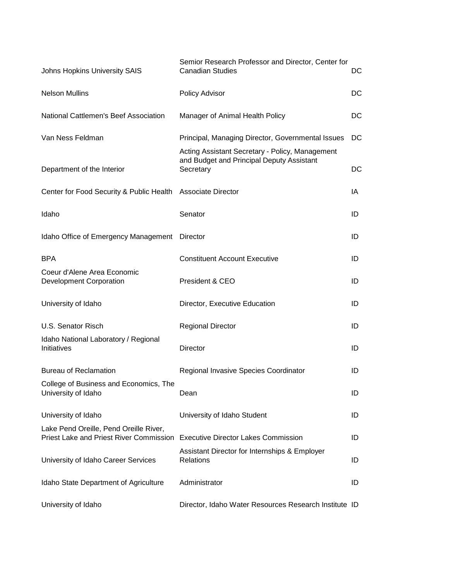| Johns Hopkins University SAIS                                                            | Semior Research Professor and Director, Center for<br><b>Canadian Studies</b>                             | DC  |
|------------------------------------------------------------------------------------------|-----------------------------------------------------------------------------------------------------------|-----|
| <b>Nelson Mullins</b>                                                                    | Policy Advisor                                                                                            | DC  |
| National Cattlemen's Beef Association                                                    | Manager of Animal Health Policy                                                                           | DC  |
| Van Ness Feldman                                                                         | Principal, Managing Director, Governmental Issues                                                         | DC. |
| Department of the Interior                                                               | Acting Assistant Secretary - Policy, Management<br>and Budget and Principal Deputy Assistant<br>Secretary | DC  |
| Center for Food Security & Public Health Associate Director                              |                                                                                                           | IA  |
| Idaho                                                                                    | Senator                                                                                                   | ID  |
| Idaho Office of Emergency Management Director                                            |                                                                                                           | ID  |
| <b>BPA</b>                                                                               | <b>Constituent Account Executive</b>                                                                      | ID  |
| Coeur d'Alene Area Economic<br><b>Development Corporation</b>                            | President & CEO                                                                                           | ID  |
| University of Idaho                                                                      | Director, Executive Education                                                                             | ID  |
| U.S. Senator Risch                                                                       | <b>Regional Director</b>                                                                                  | ID  |
| Idaho National Laboratory / Regional<br>Initiatives                                      | <b>Director</b>                                                                                           | ID  |
| <b>Bureau of Reclamation</b>                                                             | Regional Invasive Species Coordinator                                                                     | ID  |
| College of Business and Economics, The<br>University of Idaho                            | Dean                                                                                                      | ID  |
| University of Idaho                                                                      | University of Idaho Student                                                                               | ID  |
| Lake Pend Oreille, Pend Oreille River,<br><b>Priest Lake and Priest River Commission</b> | <b>Executive Director Lakes Commission</b>                                                                | ID  |
| University of Idaho Career Services                                                      | Assistant Director for Internships & Employer<br>Relations                                                | ID  |
| Idaho State Department of Agriculture                                                    | Administrator                                                                                             | ID  |
| University of Idaho                                                                      | Director, Idaho Water Resources Research Institute ID                                                     |     |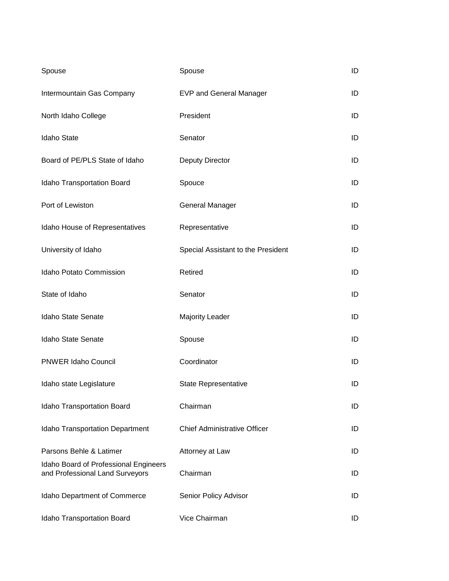| Spouse                                                                   | Spouse                              | ID |
|--------------------------------------------------------------------------|-------------------------------------|----|
| Intermountain Gas Company                                                | <b>EVP and General Manager</b>      | ID |
| North Idaho College                                                      | President                           | ID |
| <b>Idaho State</b>                                                       | Senator                             | ID |
| Board of PE/PLS State of Idaho                                           | Deputy Director                     | ID |
| Idaho Transportation Board                                               | Spouce                              | ID |
| Port of Lewiston                                                         | <b>General Manager</b>              | ID |
| Idaho House of Representatives                                           | Representative                      | ID |
| University of Idaho                                                      | Special Assistant to the President  | ID |
| Idaho Potato Commission                                                  | Retired                             | ID |
| State of Idaho                                                           | Senator                             | ID |
| Idaho State Senate                                                       | <b>Majority Leader</b>              | ID |
| Idaho State Senate                                                       | Spouse                              | ID |
| <b>PNWER Idaho Council</b>                                               | Coordinator                         | ID |
| Idaho state Legislature                                                  | <b>State Representative</b>         | ID |
| Idaho Transportation Board                                               | Chairman                            | ID |
| <b>Idaho Transportation Department</b>                                   | <b>Chief Administrative Officer</b> | ID |
| Parsons Behle & Latimer                                                  | Attorney at Law                     | ID |
| Idaho Board of Professional Engineers<br>and Professional Land Surveyors | Chairman                            | ID |
| Idaho Department of Commerce                                             | Senior Policy Advisor               | ID |
| Idaho Transportation Board                                               | Vice Chairman                       | ID |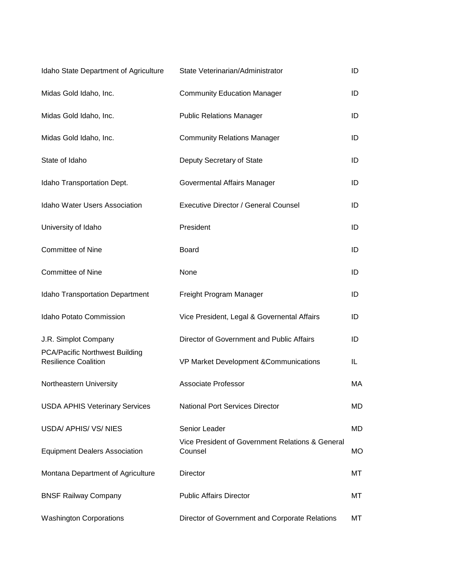| Idaho State Department of Agriculture                         | State Veterinarian/Administrator                            | ID        |
|---------------------------------------------------------------|-------------------------------------------------------------|-----------|
| Midas Gold Idaho, Inc.                                        | <b>Community Education Manager</b>                          | ID        |
| Midas Gold Idaho, Inc.                                        | <b>Public Relations Manager</b>                             | ID        |
| Midas Gold Idaho, Inc.                                        | <b>Community Relations Manager</b>                          | ID        |
| State of Idaho                                                | Deputy Secretary of State                                   | ID        |
| Idaho Transportation Dept.                                    | Govermental Affairs Manager                                 | ID        |
| <b>Idaho Water Users Association</b>                          | <b>Executive Director / General Counsel</b>                 | ID        |
| University of Idaho                                           | President                                                   | ID        |
| <b>Committee of Nine</b>                                      | <b>Board</b>                                                | ID        |
| <b>Committee of Nine</b>                                      | None                                                        | ID        |
| <b>Idaho Transportation Department</b>                        | Freight Program Manager                                     | ID        |
| <b>Idaho Potato Commission</b>                                | Vice President, Legal & Governental Affairs                 | ID        |
| J.R. Simplot Company                                          | Director of Government and Public Affairs                   | ID        |
| PCA/Pacific Northwest Building<br><b>Resilience Coalition</b> | VP Market Development & Communications                      | IL        |
| Northeastern University                                       | <b>Associate Professor</b>                                  | МA        |
| <b>USDA APHIS Veterinary Services</b>                         | <b>National Port Services Director</b>                      | MD        |
| USDA/ APHIS/ VS/ NIES                                         | Senior Leader                                               | MD        |
| <b>Equipment Dealers Association</b>                          | Vice President of Government Relations & General<br>Counsel | <b>MO</b> |
| Montana Department of Agriculture                             | <b>Director</b>                                             | МT        |
| <b>BNSF Railway Company</b>                                   | <b>Public Affairs Director</b>                              | МT        |
| <b>Washington Corporations</b>                                | Director of Government and Corporate Relations              | МT        |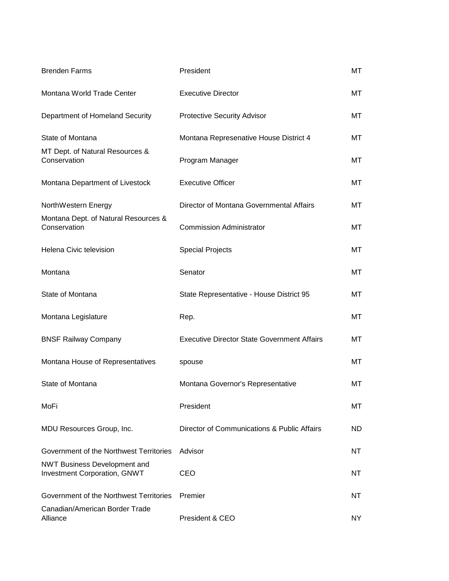| <b>Brenden Farms</b>                                                       | President                                          | МT  |
|----------------------------------------------------------------------------|----------------------------------------------------|-----|
| Montana World Trade Center                                                 | <b>Executive Director</b>                          | MT  |
| Department of Homeland Security                                            | <b>Protective Security Advisor</b>                 | МT  |
| State of Montana                                                           | Montana Represenative House District 4             | МT  |
| MT Dept. of Natural Resources &<br>Conservation                            | Program Manager                                    | МT  |
| Montana Department of Livestock                                            | <b>Executive Officer</b>                           | MT  |
| NorthWestern Energy                                                        | Director of Montana Governmental Affairs           | МT  |
| Montana Dept. of Natural Resources &<br>Conservation                       | <b>Commission Administrator</b>                    | МΤ  |
| Helena Civic television                                                    | <b>Special Projects</b>                            | MT  |
| Montana                                                                    | Senator                                            | МT  |
| State of Montana                                                           | State Representative - House District 95           | МT  |
| Montana Legislature                                                        | Rep.                                               | MT  |
| <b>BNSF Railway Company</b>                                                | <b>Executive Director State Government Affairs</b> | МT  |
| Montana House of Representatives                                           | spouse                                             | МT  |
| State of Montana                                                           | Montana Governor's Representative                  | МT  |
| MoFi                                                                       | President                                          | МT  |
| MDU Resources Group, Inc.                                                  | Director of Communications & Public Affairs        | ND. |
| Government of the Northwest Territories                                    | Advisor                                            | NT  |
| <b>NWT Business Development and</b><br><b>Investment Corporation, GNWT</b> | CEO                                                | NT  |
| Government of the Northwest Territories                                    | Premier                                            | NT  |
| Canadian/American Border Trade<br>Alliance                                 | President & CEO                                    | NY. |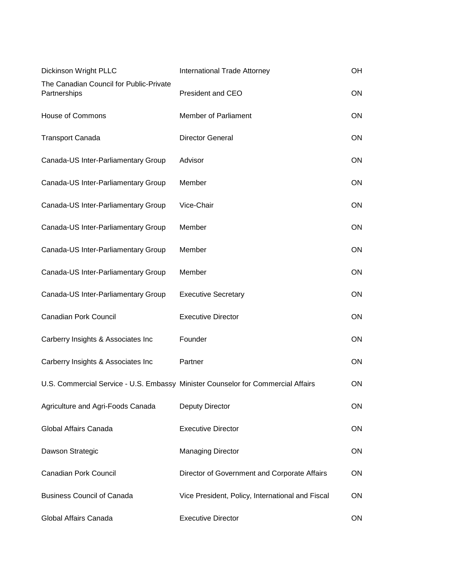| Dickinson Wright PLLC                                   | International Trade Attorney                                                     | OH        |
|---------------------------------------------------------|----------------------------------------------------------------------------------|-----------|
| The Canadian Council for Public-Private<br>Partnerships | President and CEO                                                                | <b>ON</b> |
| <b>House of Commons</b>                                 | <b>Member of Parliament</b>                                                      | ON        |
| <b>Transport Canada</b>                                 | <b>Director General</b>                                                          | <b>ON</b> |
| Canada-US Inter-Parliamentary Group                     | Advisor                                                                          | <b>ON</b> |
| Canada-US Inter-Parliamentary Group                     | Member                                                                           | <b>ON</b> |
| Canada-US Inter-Parliamentary Group                     | Vice-Chair                                                                       | <b>ON</b> |
| Canada-US Inter-Parliamentary Group                     | Member                                                                           | <b>ON</b> |
| Canada-US Inter-Parliamentary Group                     | Member                                                                           | <b>ON</b> |
| Canada-US Inter-Parliamentary Group                     | Member                                                                           | <b>ON</b> |
| Canada-US Inter-Parliamentary Group                     | <b>Executive Secretary</b>                                                       | <b>ON</b> |
| <b>Canadian Pork Council</b>                            | <b>Executive Director</b>                                                        | <b>ON</b> |
| Carberry Insights & Associates Inc                      | Founder                                                                          | <b>ON</b> |
| Carberry Insights & Associates Inc                      | Partner                                                                          | ON        |
|                                                         | U.S. Commercial Service - U.S. Embassy Minister Counselor for Commercial Affairs | <b>ON</b> |
| Agriculture and Agri-Foods Canada                       | <b>Deputy Director</b>                                                           | ON        |
| Global Affairs Canada                                   | <b>Executive Director</b>                                                        | <b>ON</b> |
| Dawson Strategic                                        | <b>Managing Director</b>                                                         | ON        |
| <b>Canadian Pork Council</b>                            | Director of Government and Corporate Affairs                                     | <b>ON</b> |
| <b>Business Council of Canada</b>                       | Vice President, Policy, International and Fiscal                                 | <b>ON</b> |
| Global Affairs Canada                                   | <b>Executive Director</b>                                                        | ON.       |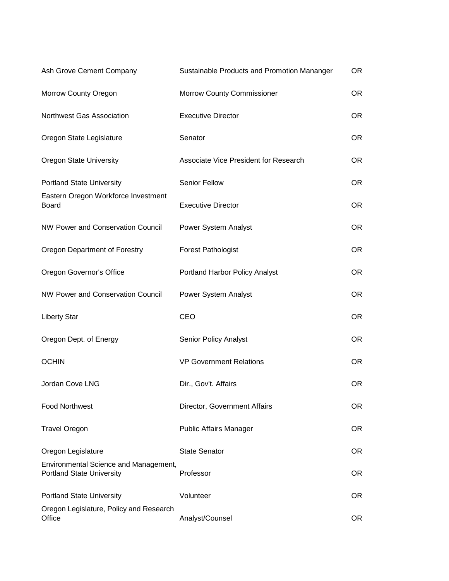| Ash Grove Cement Company                                                  | Sustainable Products and Promotion Mananger | <b>OR</b> |
|---------------------------------------------------------------------------|---------------------------------------------|-----------|
| Morrow County Oregon                                                      | <b>Morrow County Commissioner</b>           | OR.       |
| Northwest Gas Association                                                 | <b>Executive Director</b>                   | OR.       |
| Oregon State Legislature                                                  | Senator                                     | <b>OR</b> |
| <b>Oregon State University</b>                                            | Associate Vice President for Research       | OR.       |
| <b>Portland State University</b>                                          | Senior Fellow                               | OR.       |
| Eastern Oregon Workforce Investment<br><b>Board</b>                       | <b>Executive Director</b>                   | <b>OR</b> |
| <b>NW Power and Conservation Council</b>                                  | Power System Analyst                        | OR.       |
| Oregon Department of Forestry                                             | <b>Forest Pathologist</b>                   | <b>OR</b> |
| Oregon Governor's Office                                                  | Portland Harbor Policy Analyst              | OR.       |
| NW Power and Conservation Council                                         | Power System Analyst                        | OR.       |
| <b>Liberty Star</b>                                                       | CEO                                         | OR.       |
| Oregon Dept. of Energy                                                    | Senior Policy Analyst                       | OR.       |
| <b>OCHIN</b>                                                              | <b>VP Government Relations</b>              | <b>OR</b> |
| Jordan Cove LNG                                                           | Dir., Gov't. Affairs                        | <b>OR</b> |
| <b>Food Northwest</b>                                                     | Director, Government Affairs                | OR.       |
| <b>Travel Oregon</b>                                                      | <b>Public Affairs Manager</b>               | OR.       |
| Oregon Legislature                                                        | <b>State Senator</b>                        | OR.       |
| Environmental Science and Management,<br><b>Portland State University</b> | Professor                                   | OR.       |
| <b>Portland State University</b>                                          | Volunteer                                   | <b>OR</b> |
| Oregon Legislature, Policy and Research<br>Office                         | Analyst/Counsel                             | OR.       |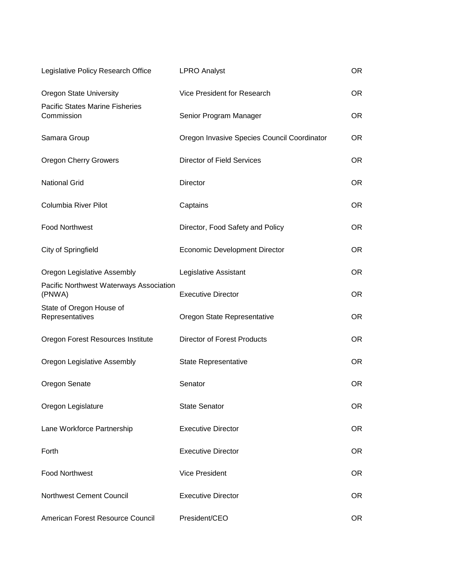| Legislative Policy Research Office                   | <b>LPRO Analyst</b>                         | <b>OR</b> |
|------------------------------------------------------|---------------------------------------------|-----------|
| <b>Oregon State University</b>                       | Vice President for Research                 | OR.       |
| <b>Pacific States Marine Fisheries</b><br>Commission | Senior Program Manager                      | OR.       |
| Samara Group                                         | Oregon Invasive Species Council Coordinator | <b>OR</b> |
| <b>Oregon Cherry Growers</b>                         | <b>Director of Field Services</b>           | OR.       |
| <b>National Grid</b>                                 | Director                                    | <b>OR</b> |
| Columbia River Pilot                                 | Captains                                    | OR.       |
| <b>Food Northwest</b>                                | Director, Food Safety and Policy            | OR.       |
| City of Springfield                                  | <b>Economic Development Director</b>        | OR.       |
| Oregon Legislative Assembly                          | Legislative Assistant                       | OR.       |
| Pacific Northwest Waterways Association<br>(PNWA)    | <b>Executive Director</b>                   | OR.       |
| State of Oregon House of<br>Representatives          | Oregon State Representative                 | OR.       |
| Oregon Forest Resources Institute                    | <b>Director of Forest Products</b>          | OR.       |
| Oregon Legislative Assembly                          | <b>State Representative</b>                 | OR.       |
| Oregon Senate                                        | Senator                                     | OR.       |
| Oregon Legislature                                   | <b>State Senator</b>                        | OR.       |
| Lane Workforce Partnership                           | <b>Executive Director</b>                   | OR.       |
| Forth                                                | <b>Executive Director</b>                   | OR.       |
| <b>Food Northwest</b>                                | <b>Vice President</b>                       | OR.       |
| <b>Northwest Cement Council</b>                      | <b>Executive Director</b>                   | OR.       |
| American Forest Resource Council                     | President/CEO                               | OR.       |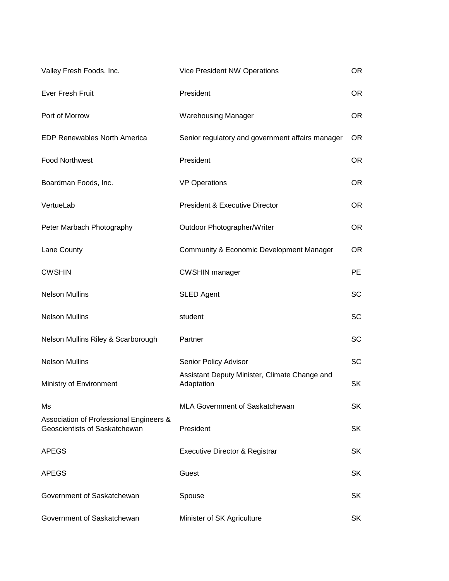| Valley Fresh Foods, Inc.                                                 | Vice President NW Operations                                | <b>OR</b> |
|--------------------------------------------------------------------------|-------------------------------------------------------------|-----------|
| Ever Fresh Fruit                                                         | President                                                   | <b>OR</b> |
| Port of Morrow                                                           | <b>Warehousing Manager</b>                                  | <b>OR</b> |
| <b>EDP Renewables North America</b>                                      | Senior regulatory and government affairs manager            | <b>OR</b> |
| <b>Food Northwest</b>                                                    | President                                                   | <b>OR</b> |
| Boardman Foods, Inc.                                                     | <b>VP Operations</b>                                        | OR.       |
| VertueLab                                                                | <b>President &amp; Executive Director</b>                   | <b>OR</b> |
| Peter Marbach Photography                                                | Outdoor Photographer/Writer                                 | OR.       |
| Lane County                                                              | Community & Economic Development Manager                    | <b>OR</b> |
| <b>CWSHIN</b>                                                            | <b>CWSHIN manager</b>                                       | PE.       |
| <b>Nelson Mullins</b>                                                    | <b>SLED Agent</b>                                           | <b>SC</b> |
| <b>Nelson Mullins</b>                                                    | student                                                     | <b>SC</b> |
| Nelson Mullins Riley & Scarborough                                       | Partner                                                     | <b>SC</b> |
| <b>Nelson Mullins</b>                                                    | Senior Policy Advisor                                       | <b>SC</b> |
| Ministry of Environment                                                  | Assistant Deputy Minister, Climate Change and<br>Adaptation | <b>SK</b> |
| Ms                                                                       | MLA Government of Saskatchewan                              | <b>SK</b> |
| Association of Professional Engineers &<br>Geoscientists of Saskatchewan | President                                                   | <b>SK</b> |
| <b>APEGS</b>                                                             | <b>Executive Director &amp; Registrar</b>                   | <b>SK</b> |
| <b>APEGS</b>                                                             | Guest                                                       | <b>SK</b> |
| Government of Saskatchewan                                               | Spouse                                                      | <b>SK</b> |
| Government of Saskatchewan                                               | Minister of SK Agriculture                                  | <b>SK</b> |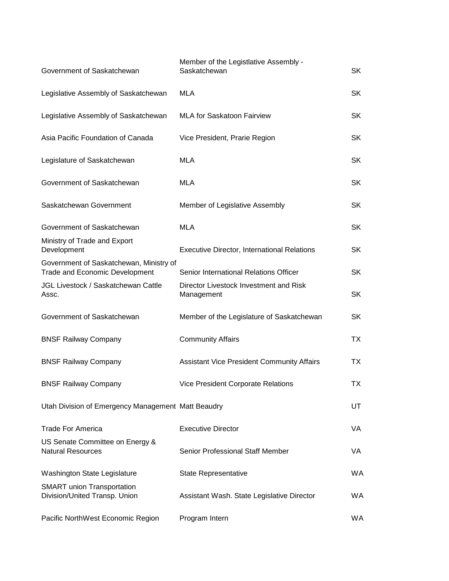| Government of Saskatchewan                                                | Member of the Legistlative Assembly -<br>Saskatchewan | SK.       |
|---------------------------------------------------------------------------|-------------------------------------------------------|-----------|
| Legislative Assembly of Saskatchewan                                      | <b>MLA</b>                                            | <b>SK</b> |
| Legislative Assembly of Saskatchewan                                      | <b>MLA for Saskatoon Fairview</b>                     | <b>SK</b> |
| Asia Pacific Foundation of Canada                                         | Vice President, Prarie Region                         | <b>SK</b> |
| Legislature of Saskatchewan                                               | <b>MLA</b>                                            | <b>SK</b> |
| Government of Saskatchewan                                                | <b>MLA</b>                                            | <b>SK</b> |
| Saskatchewan Government                                                   | Member of Legislative Assembly                        | <b>SK</b> |
| Government of Saskatchewan                                                | <b>MLA</b>                                            | <b>SK</b> |
| Ministry of Trade and Export<br>Development                               | <b>Executive Director, International Relations</b>    | <b>SK</b> |
| Government of Saskatchewan, Ministry of<br>Trade and Economic Development | Senior International Relations Officer                | <b>SK</b> |
| JGL Livestock / Saskatchewan Cattle<br>Assc.                              | Director Livestock Investment and Risk<br>Management  | <b>SK</b> |
| Government of Saskatchewan                                                | Member of the Legislature of Saskatchewan             | <b>SK</b> |
| <b>BNSF Railway Company</b>                                               | <b>Community Affairs</b>                              | TX        |
| <b>BNSF Railway Company</b>                                               | <b>Assistant Vice President Community Affairs</b>     | TX.       |
| <b>BNSF Railway Company</b>                                               | Vice President Corporate Relations                    | ТX        |
| Utah Division of Emergency Management Matt Beaudry                        |                                                       | UT        |
| <b>Trade For America</b>                                                  | <b>Executive Director</b>                             | VA.       |
| US Senate Committee on Energy &<br><b>Natural Resources</b>               | Senior Professional Staff Member                      | VA        |
| Washington State Legislature                                              | State Representative                                  | WA        |
| <b>SMART</b> union Transportation<br>Division/United Transp. Union        | Assistant Wash. State Legislative Director            | <b>WA</b> |
| Pacific NorthWest Economic Region                                         | Program Intern                                        | WA        |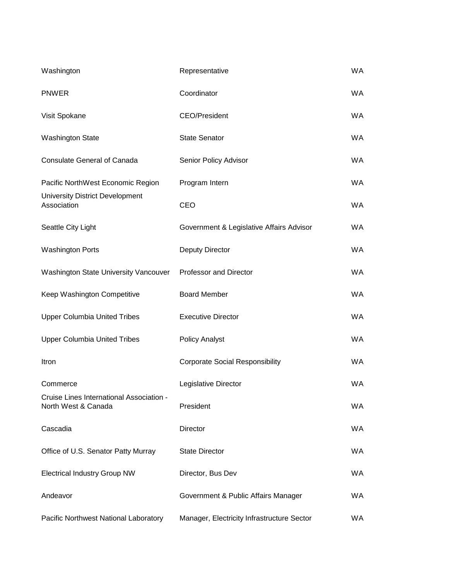| Washington                                                      | Representative                             | <b>WA</b> |
|-----------------------------------------------------------------|--------------------------------------------|-----------|
| <b>PNWER</b>                                                    | Coordinator                                | <b>WA</b> |
| Visit Spokane                                                   | <b>CEO/President</b>                       | <b>WA</b> |
| <b>Washington State</b>                                         | <b>State Senator</b>                       | <b>WA</b> |
| <b>Consulate General of Canada</b>                              | Senior Policy Advisor                      | <b>WA</b> |
| Pacific NorthWest Economic Region                               | Program Intern                             | <b>WA</b> |
| <b>University District Development</b><br>Association           | CEO                                        | <b>WA</b> |
| Seattle City Light                                              | Government & Legislative Affairs Advisor   | <b>WA</b> |
| <b>Washington Ports</b>                                         | <b>Deputy Director</b>                     | <b>WA</b> |
| Washington State University Vancouver                           | <b>Professor and Director</b>              | <b>WA</b> |
| Keep Washington Competitive                                     | <b>Board Member</b>                        | <b>WA</b> |
| <b>Upper Columbia United Tribes</b>                             | <b>Executive Director</b>                  | <b>WA</b> |
| <b>Upper Columbia United Tribes</b>                             | <b>Policy Analyst</b>                      | <b>WA</b> |
| Itron                                                           | <b>Corporate Social Responsibility</b>     | <b>WA</b> |
| Commerce                                                        | Legislative Director                       | <b>WA</b> |
| Cruise Lines International Association -<br>North West & Canada | President                                  | WA.       |
| Cascadia                                                        | Director                                   | <b>WA</b> |
| Office of U.S. Senator Patty Murray                             | <b>State Director</b>                      | WA.       |
| <b>Electrical Industry Group NW</b>                             | Director, Bus Dev                          | WA.       |
| Andeavor                                                        | Government & Public Affairs Manager        | WA.       |
| Pacific Northwest National Laboratory                           | Manager, Electricity Infrastructure Sector | <b>WA</b> |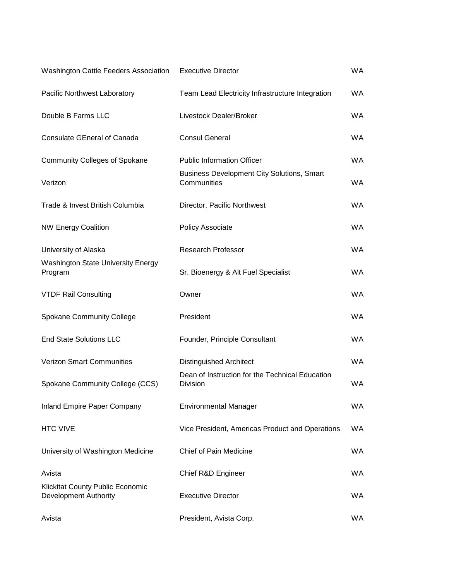| Washington Cattle Feeders Association                            | <b>Executive Director</b>                                          | <b>WA</b> |
|------------------------------------------------------------------|--------------------------------------------------------------------|-----------|
| Pacific Northwest Laboratory                                     | Team Lead Electricity Infrastructure Integration                   | <b>WA</b> |
| Double B Farms LLC                                               | Livestock Dealer/Broker                                            | <b>WA</b> |
| <b>Consulate GEneral of Canada</b>                               | <b>Consul General</b>                                              | <b>WA</b> |
| <b>Community Colleges of Spokane</b>                             | <b>Public Information Officer</b>                                  | <b>WA</b> |
| Verizon                                                          | <b>Business Development City Solutions, Smart</b><br>Communities   | <b>WA</b> |
| Trade & Invest British Columbia                                  | Director, Pacific Northwest                                        | <b>WA</b> |
| <b>NW Energy Coalition</b>                                       | Policy Associate                                                   | <b>WA</b> |
| University of Alaska                                             | <b>Research Professor</b>                                          | <b>WA</b> |
| <b>Washington State University Energy</b><br>Program             | Sr. Bioenergy & Alt Fuel Specialist                                | <b>WA</b> |
| <b>VTDF Rail Consulting</b>                                      | Owner                                                              | <b>WA</b> |
| <b>Spokane Community College</b>                                 | President                                                          | <b>WA</b> |
| <b>End State Solutions LLC</b>                                   | Founder, Principle Consultant                                      | <b>WA</b> |
| <b>Verizon Smart Communities</b>                                 | <b>Distinguished Architect</b>                                     | <b>WA</b> |
| Spokane Community College (CCS)                                  | Dean of Instruction for the Technical Education<br><b>Division</b> | <b>WA</b> |
| <b>Inland Empire Paper Company</b>                               | <b>Environmental Manager</b>                                       | <b>WA</b> |
| <b>HTC VIVE</b>                                                  | Vice President, Americas Product and Operations                    | WA.       |
| University of Washington Medicine                                | Chief of Pain Medicine                                             | <b>WA</b> |
| Avista                                                           | Chief R&D Engineer                                                 | WA.       |
| <b>Klickitat County Public Economic</b><br>Development Authority | <b>Executive Director</b>                                          | WA.       |
| Avista                                                           | President, Avista Corp.                                            | WA.       |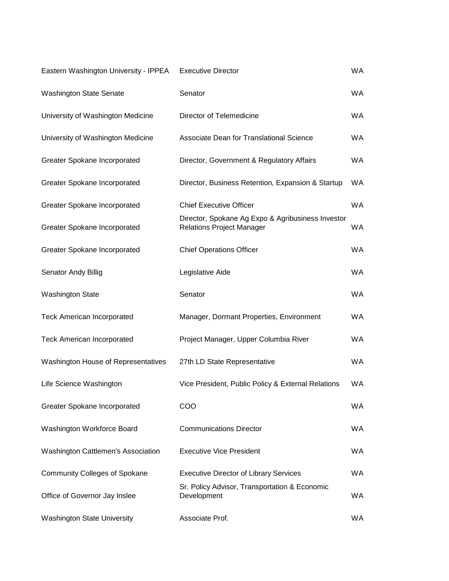| Eastern Washington University - IPPEA | <b>Executive Director</b>                                                             | <b>WA</b> |
|---------------------------------------|---------------------------------------------------------------------------------------|-----------|
| <b>Washington State Senate</b>        | Senator                                                                               | <b>WA</b> |
| University of Washington Medicine     | Director of Telemedicine                                                              | <b>WA</b> |
| University of Washington Medicine     | Associate Dean for Translational Science                                              | <b>WA</b> |
| Greater Spokane Incorporated          | Director, Government & Regulatory Affairs                                             | <b>WA</b> |
| Greater Spokane Incorporated          | Director, Business Retention, Expansion & Startup                                     | <b>WA</b> |
| Greater Spokane Incorporated          | <b>Chief Executive Officer</b>                                                        | <b>WA</b> |
| Greater Spokane Incorporated          | Director, Spokane Ag Expo & Agribusiness Investor<br><b>Relations Project Manager</b> | <b>WA</b> |
| Greater Spokane Incorporated          | <b>Chief Operations Officer</b>                                                       | <b>WA</b> |
| Senator Andy Billig                   | Legislative Aide                                                                      | <b>WA</b> |
| <b>Washington State</b>               | Senator                                                                               | <b>WA</b> |
| <b>Teck American Incorporated</b>     | Manager, Dormant Properties, Environment                                              | <b>WA</b> |
| <b>Teck American Incorporated</b>     | Project Manager, Upper Columbia River                                                 | WA        |
| Washington House of Representatives   | 27th LD State Representative                                                          | <b>WA</b> |
| Life Science Washington               | Vice President, Public Policy & External Relations                                    | <b>WA</b> |
| Greater Spokane Incorporated          | COO                                                                                   | <b>WA</b> |
| Washington Workforce Board            | <b>Communications Director</b>                                                        | WA.       |
| Washington Cattlemen's Association    | <b>Executive Vice President</b>                                                       | WA.       |
| <b>Community Colleges of Spokane</b>  | <b>Executive Director of Library Services</b>                                         | WA.       |
| Office of Governor Jay Inslee         | Sr. Policy Advisor, Transportation & Economic<br>Development                          | WA.       |
| <b>Washington State University</b>    | Associate Prof.                                                                       | WA.       |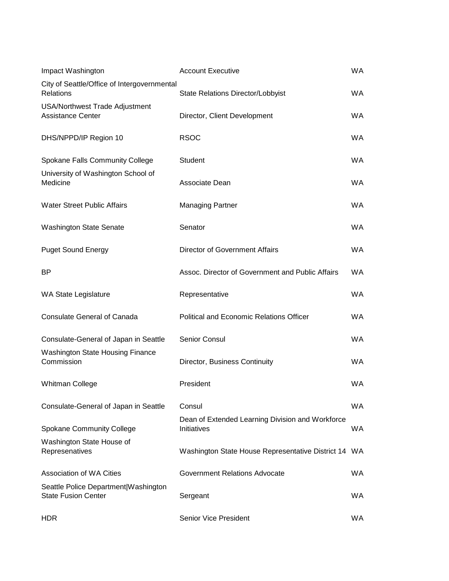| Impact Washington                                                  | <b>Account Executive</b>                                        | <b>WA</b> |
|--------------------------------------------------------------------|-----------------------------------------------------------------|-----------|
| City of Seattle/Office of Intergovernmental<br>Relations           | State Relations Director/Lobbyist                               | <b>WA</b> |
| <b>USA/Northwest Trade Adjustment</b><br><b>Assistance Center</b>  | Director, Client Development                                    | <b>WA</b> |
| DHS/NPPD/IP Region 10                                              | <b>RSOC</b>                                                     | <b>WA</b> |
| Spokane Falls Community College                                    | Student                                                         | <b>WA</b> |
| University of Washington School of<br>Medicine                     | Associate Dean                                                  | <b>WA</b> |
| <b>Water Street Public Affairs</b>                                 | <b>Managing Partner</b>                                         | <b>WA</b> |
| <b>Washington State Senate</b>                                     | Senator                                                         | WA.       |
| <b>Puget Sound Energy</b>                                          | Director of Government Affairs                                  | <b>WA</b> |
| <b>BP</b>                                                          | Assoc. Director of Government and Public Affairs                | <b>WA</b> |
| <b>WA State Legislature</b>                                        | Representative                                                  | <b>WA</b> |
| <b>Consulate General of Canada</b>                                 | <b>Political and Economic Relations Officer</b>                 | <b>WA</b> |
| Consulate-General of Japan in Seattle                              | Senior Consul                                                   | <b>WA</b> |
| <b>Washington State Housing Finance</b><br>Commission              | Director, Business Continuity                                   | <b>WA</b> |
| <b>Whitman College</b>                                             | President                                                       | <b>WA</b> |
| Consulate-General of Japan in Seattle                              | Consul                                                          | WA.       |
| <b>Spokane Community College</b>                                   | Dean of Extended Learning Division and Workforce<br>Initiatives | <b>WA</b> |
| Washington State House of<br>Represenatives                        | Washington State House Representative District 14 WA            |           |
| Association of WA Cities                                           | Government Relations Advocate                                   | <b>WA</b> |
| Seattle Police Department Washington<br><b>State Fusion Center</b> | Sergeant                                                        | WA.       |
| <b>HDR</b>                                                         | <b>Senior Vice President</b>                                    | WA.       |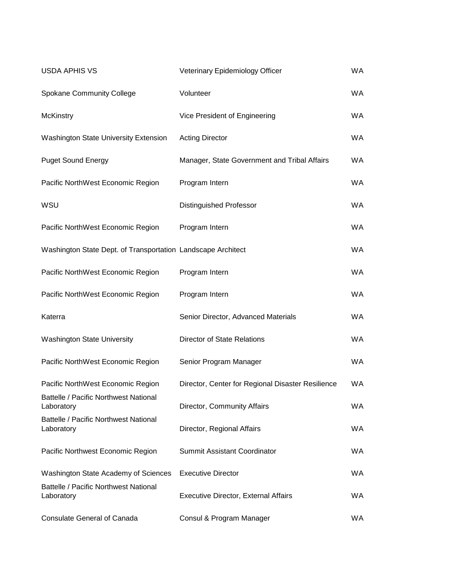| <b>USDA APHIS VS</b>                                         | Veterinary Epidemiology Officer                   | <b>WA</b> |
|--------------------------------------------------------------|---------------------------------------------------|-----------|
| Spokane Community College                                    | Volunteer                                         | <b>WA</b> |
| <b>McKinstry</b>                                             | Vice President of Engineering                     | WA.       |
| <b>Washington State University Extension</b>                 | <b>Acting Director</b>                            | <b>WA</b> |
| <b>Puget Sound Energy</b>                                    | Manager, State Government and Tribal Affairs      | <b>WA</b> |
| Pacific NorthWest Economic Region                            | Program Intern                                    | WA.       |
| WSU                                                          | <b>Distinguished Professor</b>                    | <b>WA</b> |
| Pacific NorthWest Economic Region                            | Program Intern                                    | <b>WA</b> |
| Washington State Dept. of Transportation Landscape Architect |                                                   | <b>WA</b> |
| Pacific NorthWest Economic Region                            | Program Intern                                    | <b>WA</b> |
| Pacific NorthWest Economic Region                            | Program Intern                                    | <b>WA</b> |
| Katerra                                                      | Senior Director, Advanced Materials               | WA.       |
| <b>Washington State University</b>                           | <b>Director of State Relations</b>                | <b>WA</b> |
| Pacific NorthWest Economic Region                            | Senior Program Manager                            | <b>WA</b> |
| Pacific NorthWest Economic Region                            | Director, Center for Regional Disaster Resilience | <b>WA</b> |
| Battelle / Pacific Northwest National<br>Laboratory          | Director, Community Affairs                       | WA.       |
| Battelle / Pacific Northwest National<br>Laboratory          | Director, Regional Affairs                        | WA.       |
| Pacific Northwest Economic Region                            | Summit Assistant Coordinator                      | WA.       |
| Washington State Academy of Sciences                         | <b>Executive Director</b>                         | WA.       |
| Battelle / Pacific Northwest National<br>Laboratory          | <b>Executive Director, External Affairs</b>       | WA.       |
| <b>Consulate General of Canada</b>                           | Consul & Program Manager                          | WA.       |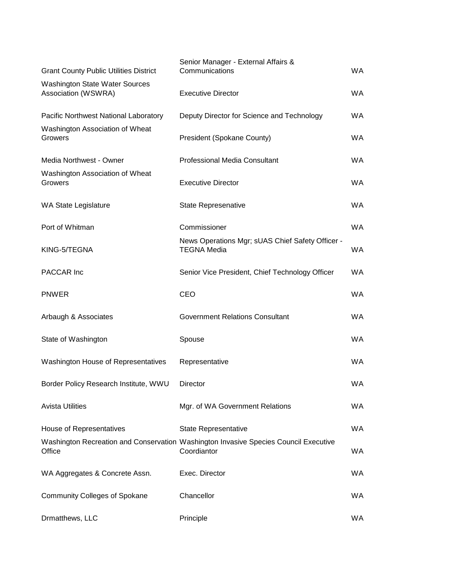| <b>Grant County Public Utilities District</b>                | Senior Manager - External Affairs &<br>Communications                                               | WA.       |
|--------------------------------------------------------------|-----------------------------------------------------------------------------------------------------|-----------|
| <b>Washington State Water Sources</b><br>Association (WSWRA) | <b>Executive Director</b>                                                                           | <b>WA</b> |
| Pacific Northwest National Laboratory                        | Deputy Director for Science and Technology                                                          | WA.       |
| Washington Association of Wheat<br>Growers                   | President (Spokane County)                                                                          | <b>WA</b> |
| Media Northwest - Owner                                      | <b>Professional Media Consultant</b>                                                                | WA.       |
| Washington Association of Wheat<br>Growers                   | <b>Executive Director</b>                                                                           | <b>WA</b> |
| <b>WA State Legislature</b>                                  | State Represenative                                                                                 | <b>WA</b> |
| Port of Whitman                                              | Commissioner                                                                                        | <b>WA</b> |
| KING-5/TEGNA                                                 | News Operations Mgr; sUAS Chief Safety Officer -<br><b>TEGNA Media</b>                              | <b>WA</b> |
| PACCAR Inc                                                   | Senior Vice President, Chief Technology Officer                                                     | <b>WA</b> |
| <b>PNWER</b>                                                 | CEO                                                                                                 | WA.       |
| Arbaugh & Associates                                         | Government Relations Consultant                                                                     | <b>WA</b> |
| State of Washington                                          | Spouse                                                                                              | WA.       |
| Washington House of Representatives                          | Representative                                                                                      | <b>WA</b> |
| Border Policy Research Institute, WWU                        | Director                                                                                            | <b>WA</b> |
| <b>Avista Utilities</b>                                      | Mgr. of WA Government Relations                                                                     | WA.       |
| House of Representatives                                     | <b>State Representative</b>                                                                         | WA.       |
| Office                                                       | Washington Recreation and Conservation Washington Invasive Species Council Executive<br>Coordiantor | WA        |
| WA Aggregates & Concrete Assn.                               | Exec. Director                                                                                      | <b>WA</b> |
| <b>Community Colleges of Spokane</b>                         | Chancellor                                                                                          | WA        |
| Drmatthews, LLC                                              | Principle                                                                                           | WA        |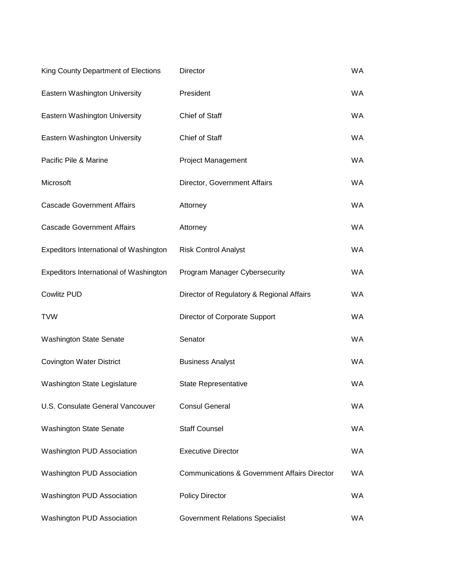| King County Department of Elections    | Director                                                | <b>WA</b> |
|----------------------------------------|---------------------------------------------------------|-----------|
| Eastern Washington University          | President                                               | <b>WA</b> |
| Eastern Washington University          | Chief of Staff                                          | <b>WA</b> |
| Eastern Washington University          | Chief of Staff                                          | WA.       |
| Pacific Pile & Marine                  | <b>Project Management</b>                               | WA.       |
| Microsoft                              | Director, Government Affairs                            | <b>WA</b> |
| <b>Cascade Government Affairs</b>      | Attorney                                                | <b>WA</b> |
| <b>Cascade Government Affairs</b>      | Attorney                                                | WA.       |
| Expeditors International of Washington | <b>Risk Control Analyst</b>                             | <b>WA</b> |
| Expeditors International of Washington | Program Manager Cybersecurity                           | WA.       |
| <b>Cowlitz PUD</b>                     | Director of Regulatory & Regional Affairs               | <b>WA</b> |
| <b>TVW</b>                             | Director of Corporate Support                           | <b>WA</b> |
| <b>Washington State Senate</b>         | Senator                                                 | <b>WA</b> |
| <b>Covington Water District</b>        | <b>Business Analyst</b>                                 | WA        |
| Washington State Legislature           | State Representative                                    | <b>WA</b> |
| U.S. Consulate General Vancouver       | <b>Consul General</b>                                   | WA.       |
| <b>Washington State Senate</b>         | <b>Staff Counsel</b>                                    | <b>WA</b> |
| Washington PUD Association             | <b>Executive Director</b>                               | <b>WA</b> |
| Washington PUD Association             | <b>Communications &amp; Government Affairs Director</b> | <b>WA</b> |
| Washington PUD Association             | <b>Policy Director</b>                                  | WA.       |
| Washington PUD Association             | <b>Government Relations Specialist</b>                  | WA.       |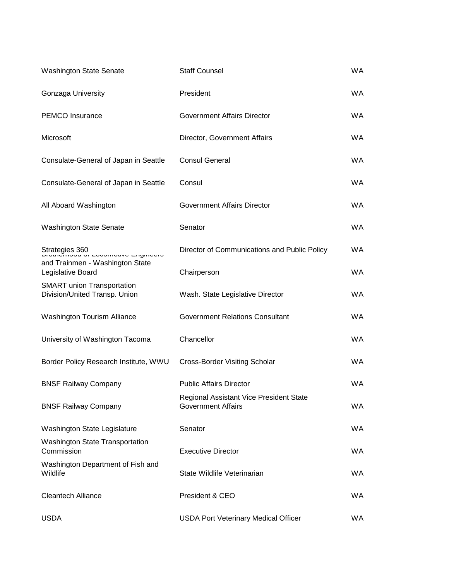| <b>Washington State Senate</b>                                     | <b>Staff Counsel</b>                                                 | <b>WA</b> |
|--------------------------------------------------------------------|----------------------------------------------------------------------|-----------|
| Gonzaga University                                                 | President                                                            | <b>WA</b> |
| <b>PEMCO</b> Insurance                                             | <b>Government Affairs Director</b>                                   | <b>WA</b> |
| Microsoft                                                          | Director, Government Affairs                                         | <b>WA</b> |
| Consulate-General of Japan in Seattle                              | <b>Consul General</b>                                                | <b>WA</b> |
| Consulate-General of Japan in Seattle                              | Consul                                                               | <b>WA</b> |
| All Aboard Washington                                              | <b>Government Affairs Director</b>                                   | <b>WA</b> |
| <b>Washington State Senate</b>                                     | Senator                                                              | <b>WA</b> |
| Strategies 360<br>םוטנוופוווטטע טו בטטטוווטנועס בוועוווספוס        | Director of Communications and Public Policy                         | <b>WA</b> |
| and Trainmen - Washington State<br>Legislative Board               | Chairperson                                                          | <b>WA</b> |
| <b>SMART</b> union Transportation<br>Division/United Transp. Union | Wash. State Legislative Director                                     | <b>WA</b> |
| <b>Washington Tourism Alliance</b>                                 | <b>Government Relations Consultant</b>                               | <b>WA</b> |
| University of Washington Tacoma                                    | Chancellor                                                           | <b>WA</b> |
| Border Policy Research Institute, WWU                              | <b>Cross-Border Visiting Scholar</b>                                 | <b>WA</b> |
| <b>BNSF Railway Company</b>                                        | <b>Public Affairs Director</b>                                       | <b>WA</b> |
| <b>BNSF Railway Company</b>                                        | Regional Assistant Vice President State<br><b>Government Affairs</b> | WA.       |
| Washington State Legislature                                       | Senator                                                              | <b>WA</b> |
| <b>Washington State Transportation</b><br>Commission               | <b>Executive Director</b>                                            | WA.       |
| Washington Department of Fish and<br>Wildlife                      | State Wildlife Veterinarian                                          | WA.       |
| <b>Cleantech Alliance</b>                                          | President & CEO                                                      | WA.       |
| <b>USDA</b>                                                        | <b>USDA Port Veterinary Medical Officer</b>                          | WA        |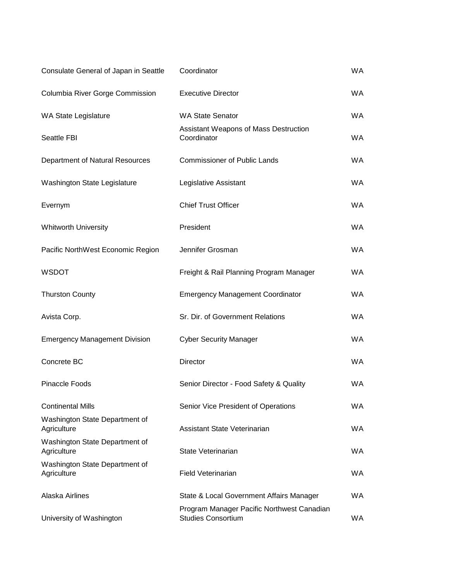| Consulate General of Japan in Seattle         | Coordinator                                                             | <b>WA</b> |
|-----------------------------------------------|-------------------------------------------------------------------------|-----------|
| Columbia River Gorge Commission               | <b>Executive Director</b>                                               | <b>WA</b> |
| WA State Legislature                          | <b>WA State Senator</b>                                                 | <b>WA</b> |
| Seattle FBI                                   | Assistant Weapons of Mass Destruction<br>Coordinator                    | <b>WA</b> |
| Department of Natural Resources               | <b>Commissioner of Public Lands</b>                                     | <b>WA</b> |
| Washington State Legislature                  | Legislative Assistant                                                   | <b>WA</b> |
| Evernym                                       | <b>Chief Trust Officer</b>                                              | <b>WA</b> |
| <b>Whitworth University</b>                   | President                                                               | <b>WA</b> |
| Pacific NorthWest Economic Region             | Jennifer Grosman                                                        | <b>WA</b> |
| <b>WSDOT</b>                                  | Freight & Rail Planning Program Manager                                 | WA.       |
| <b>Thurston County</b>                        | <b>Emergency Management Coordinator</b>                                 | <b>WA</b> |
| Avista Corp.                                  | Sr. Dir. of Government Relations                                        | <b>WA</b> |
| <b>Emergency Management Division</b>          | <b>Cyber Security Manager</b>                                           | <b>WA</b> |
| Concrete BC                                   | Director                                                                | <b>WA</b> |
| <b>Pinaccle Foods</b>                         | Senior Director - Food Safety & Quality                                 | <b>WA</b> |
| <b>Continental Mills</b>                      | Senior Vice President of Operations                                     | <b>WA</b> |
| Washington State Department of<br>Agriculture | Assistant State Veterinarian                                            | WA.       |
| Washington State Department of<br>Agriculture | State Veterinarian                                                      | WA.       |
| Washington State Department of<br>Agriculture | <b>Field Veterinarian</b>                                               | WA.       |
| Alaska Airlines                               | State & Local Government Affairs Manager                                | WA.       |
| University of Washington                      | Program Manager Pacific Northwest Canadian<br><b>Studies Consortium</b> | WA.       |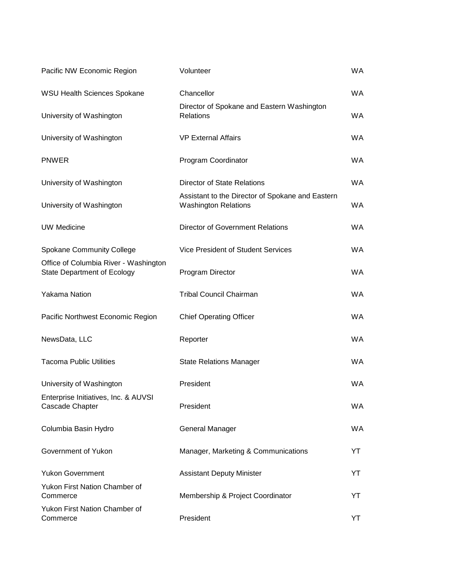| Pacific NW Economic Region                                                  | Volunteer                                                                       | <b>WA</b> |
|-----------------------------------------------------------------------------|---------------------------------------------------------------------------------|-----------|
| WSU Health Sciences Spokane                                                 | Chancellor                                                                      | <b>WA</b> |
| University of Washington                                                    | Director of Spokane and Eastern Washington<br><b>Relations</b>                  | <b>WA</b> |
| University of Washington                                                    | <b>VP External Affairs</b>                                                      | <b>WA</b> |
| <b>PNWER</b>                                                                | Program Coordinator                                                             | <b>WA</b> |
| University of Washington                                                    | <b>Director of State Relations</b>                                              | <b>WA</b> |
| University of Washington                                                    | Assistant to the Director of Spokane and Eastern<br><b>Washington Relations</b> | <b>WA</b> |
| <b>UW Medicine</b>                                                          | Director of Government Relations                                                | WA.       |
| Spokane Community College                                                   | <b>Vice President of Student Services</b>                                       | <b>WA</b> |
| Office of Columbia River - Washington<br><b>State Department of Ecology</b> | Program Director                                                                | WA.       |
| <b>Yakama Nation</b>                                                        | <b>Tribal Council Chairman</b>                                                  | <b>WA</b> |
| Pacific Northwest Economic Region                                           | <b>Chief Operating Officer</b>                                                  | <b>WA</b> |
| NewsData, LLC                                                               | Reporter                                                                        | <b>WA</b> |
| <b>Tacoma Public Utilities</b>                                              | <b>State Relations Manager</b>                                                  | <b>WA</b> |
| University of Washington                                                    | President                                                                       | <b>WA</b> |
| Enterprise Initiatives, Inc. & AUVSI<br>Cascade Chapter                     | President                                                                       | WA.       |
| Columbia Basin Hydro                                                        | <b>General Manager</b>                                                          | WA.       |
| Government of Yukon                                                         | Manager, Marketing & Communications                                             | YT        |
| <b>Yukon Government</b>                                                     | <b>Assistant Deputy Minister</b>                                                | YT        |
| <b>Yukon First Nation Chamber of</b><br>Commerce                            | Membership & Project Coordinator                                                | YT        |
| Yukon First Nation Chamber of<br>Commerce                                   | President                                                                       | YT        |